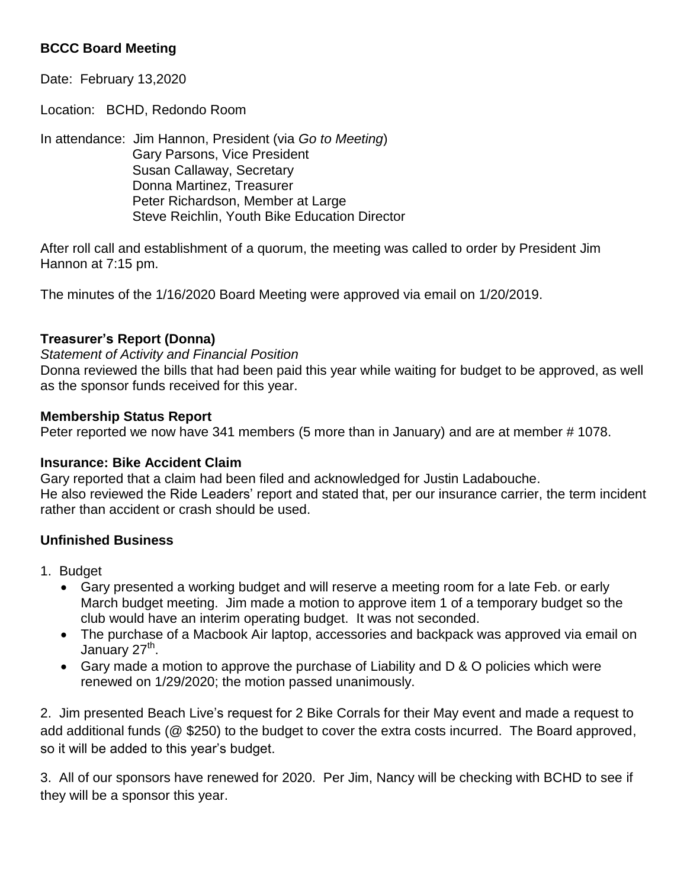# **BCCC Board Meeting**

Date: February 13,2020

Location: BCHD, Redondo Room

In attendance: Jim Hannon, President (via *Go to Meeting*) Gary Parsons, Vice President Susan Callaway, Secretary Donna Martinez, Treasurer Peter Richardson, Member at Large Steve Reichlin, Youth Bike Education Director

After roll call and establishment of a quorum, the meeting was called to order by President Jim Hannon at 7:15 pm.

The minutes of the 1/16/2020 Board Meeting were approved via email on 1/20/2019.

### **Treasurer's Report (Donna)**

*Statement of Activity and Financial Position*

Donna reviewed the bills that had been paid this year while waiting for budget to be approved, as well as the sponsor funds received for this year.

### **Membership Status Report**

Peter reported we now have 341 members (5 more than in January) and are at member # 1078.

#### **Insurance: Bike Accident Claim**

Gary reported that a claim had been filed and acknowledged for Justin Ladabouche. He also reviewed the Ride Leaders' report and stated that, per our insurance carrier, the term incident rather than accident or crash should be used.

## **Unfinished Business**

- 1. Budget
	- Gary presented a working budget and will reserve a meeting room for a late Feb. or early March budget meeting. Jim made a motion to approve item 1 of a temporary budget so the club would have an interim operating budget. It was not seconded.
	- The purchase of a Macbook Air laptop, accessories and backpack was approved via email on January 27<sup>th</sup>.
	- Gary made a motion to approve the purchase of Liability and D & O policies which were renewed on 1/29/2020; the motion passed unanimously.

2. Jim presented Beach Live's request for 2 Bike Corrals for their May event and made a request to add additional funds (@ \$250) to the budget to cover the extra costs incurred. The Board approved, so it will be added to this year's budget.

3. All of our sponsors have renewed for 2020. Per Jim, Nancy will be checking with BCHD to see if they will be a sponsor this year.